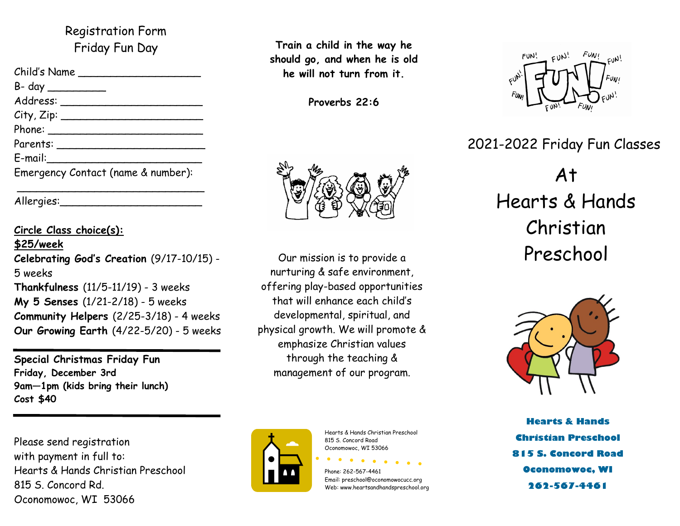### Registration Form Friday Fun Day

| Child's Name                       |
|------------------------------------|
|                                    |
|                                    |
| City, Zip:                         |
|                                    |
|                                    |
| E-mail:                            |
| Emergency Contact (name & number): |
|                                    |

Allergies:

### **Circle Class choice(s): \$25/week Celebrating God's Creation** (9/17-10/15) - 5 weeks **Thankfulness** (11/5-11/19) - 3 weeks **My 5 Senses** (1/21-2/18) - 5 weeks **Community Helpers** (2/25-3/18) - 4 weeks **Our Growing Earth** (4/22-5/20) - 5 weeks

**Special Christmas Friday Fun Friday, December 3rd 9am—1pm (kids bring their lunch) Cost \$40**

Please send registration with payment in full to: Hearts & Hands Christian Preschool 815 S. Concord Rd. Oconomowoc, WI 53066



**Proverbs 22:6**



nurturing & safe environment, offering play-based opportunities that will enhance each child's developmental, spiritual, and physical growth. We will promote & emphasize Christian values through the teaching & management of our program.



Hearts & Hands Christian Preschool 815 S. Concord Road Oconomowoc, WI 53066

 $\bullet$   $\bullet$ 

Phone: 262-567-4461 Email: preschool@oconomowocucc.org Web: www.heartsandhandspreschool.org



## 2021-2022 Friday Fun Classes

# At Hearts & Hands Christian Our mission is to provide a Preschool



**Hearts & Hands Christian Preschool 815 S. Concord Road Oconomowoc, WI 262-567-4461**